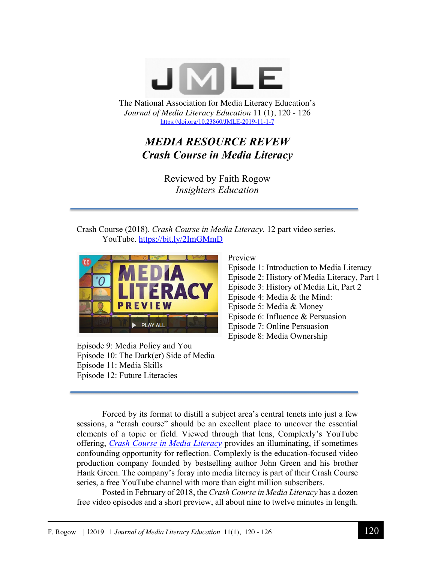

The National Association for Media Literacy Education's *Journal of Media Literacy Education* 11 (1), 120 - 126 https://doi.org/10.23860/JMLE-2019-11-1-7

# *MEDIA RESOURCE REVEW Crash Course in Media Literacy*

Reviewed by Faith Rogow *Insighters Education*

Crash Course (2018). *Crash Course in Media Literacy.* 12 part video series. YouTube. https://bit.ly/2ImGMmD



Episode 9: Media Policy and You Episode 10: The Dark(er) Side of Media Episode 11: Media Skills Episode 12: Future Literacies

Preview

Episode 1: Introduction to Media Literacy Episode 2: History of Media Literacy, Part 1 Episode 3: History of Media Lit, Part 2 Episode 4: Media & the Mind: Episode 5: Media & Money Episode 6: Influence & Persuasion Episode 7: Online Persuasion Episode 8: Media Ownership

Forced by its format to distill a subject area's central tenets into just a few sessions, a "crash course" should be an excellent place to uncover the essential elements of a topic or field. Viewed through that lens, Complexly's YouTube offering, *Crash Course in Media Literacy* provides an illuminating, if sometimes confounding opportunity for reflection. Complexly is the education-focused video production company founded by bestselling author John Green and his brother Hank Green. The company's foray into media literacy is part of their Crash Course series, a free YouTube channel with more than eight million subscribers.

Posted in February of 2018, the *Crash Course in Media Literacy* has a dozen free video episodes and a short preview, all about nine to twelve minutes in length.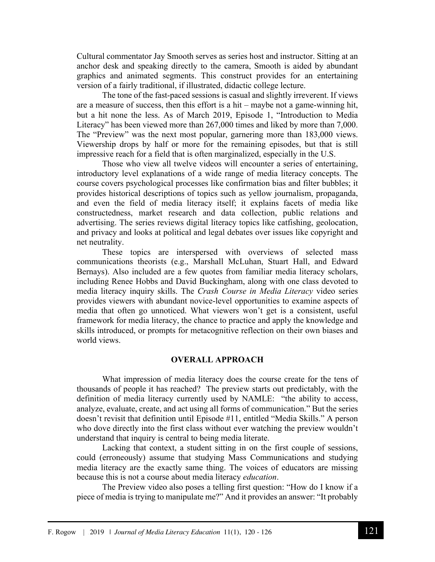Cultural commentator Jay Smooth serves as series host and instructor. Sitting at an anchor desk and speaking directly to the camera, Smooth is aided by abundant graphics and animated segments. This construct provides for an entertaining version of a fairly traditional, if illustrated, didactic college lecture.

The tone of the fast-paced sessions is casual and slightly irreverent. If views are a measure of success, then this effort is a hit – maybe not a game-winning hit, but a hit none the less. As of March 2019, Episode 1, "Introduction to Media Literacy" has been viewed more than 267,000 times and liked by more than 7,000. The "Preview" was the next most popular, garnering more than 183,000 views. Viewership drops by half or more for the remaining episodes, but that is still impressive reach for a field that is often marginalized, especially in the U.S.

Those who view all twelve videos will encounter a series of entertaining, introductory level explanations of a wide range of media literacy concepts. The course covers psychological processes like confirmation bias and filter bubbles; it provides historical descriptions of topics such as yellow journalism, propaganda, and even the field of media literacy itself; it explains facets of media like constructedness, market research and data collection, public relations and advertising. The series reviews digital literacy topics like catfishing, geolocation, and privacy and looks at political and legal debates over issues like copyright and net neutrality.

These topics are interspersed with overviews of selected mass communications theorists (e.g., Marshall McLuhan, Stuart Hall, and Edward Bernays). Also included are a few quotes from familiar media literacy scholars, including Renee Hobbs and David Buckingham, along with one class devoted to media literacy inquiry skills. The *Crash Course in Media Literacy* video series provides viewers with abundant novice-level opportunities to examine aspects of media that often go unnoticed. What viewers won't get is a consistent, useful framework for media literacy, the chance to practice and apply the knowledge and skills introduced, or prompts for metacognitive reflection on their own biases and world views.

#### **OVERALL APPROACH**

What impression of media literacy does the course create for the tens of thousands of people it has reached? The preview starts out predictably, with the definition of media literacy currently used by NAMLE: "the ability to access, analyze, evaluate, create, and act using all forms of communication." But the series doesn't revisit that definition until Episode #11, entitled "Media Skills." A person who dove directly into the first class without ever watching the preview wouldn't understand that inquiry is central to being media literate.

Lacking that context, a student sitting in on the first couple of sessions, could (erroneously) assume that studying Mass Communications and studying media literacy are the exactly same thing. The voices of educators are missing because this is not a course about media literacy *education*.

The Preview video also poses a telling first question: "How do I know if a piece of media is trying to manipulate me?" And it provides an answer: "It probably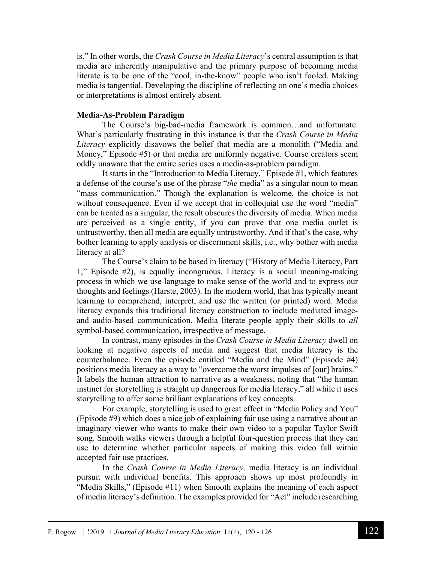is." In other words, the *Crash Course in Media Literacy*'s central assumption is that media are inherently manipulative and the primary purpose of becoming media literate is to be one of the "cool, in-the-know" people who isn't fooled. Making media is tangential. Developing the discipline of reflecting on one's media choices or interpretations is almost entirely absent.

## **Media-As-Problem Paradigm**

The Course's big-bad-media framework is common…and unfortunate. What's particularly frustrating in this instance is that the *Crash Course in Media Literacy* explicitly disavows the belief that media are a monolith ("Media and Money," Episode #5) or that media are uniformly negative. Course creators seem oddly unaware that the entire series uses a media-as-problem paradigm.

It starts in the "Introduction to Media Literacy," Episode #1, which features a defense of the course's use of the phrase "*the* media" as a singular noun to mean "mass communication." Though the explanation is welcome, the choice is not without consequence. Even if we accept that in colloquial use the word "media" can be treated as a singular, the result obscures the diversity of media. When media are perceived as a single entity, if you can prove that one media outlet is untrustworthy, then all media are equally untrustworthy. And if that's the case, why bother learning to apply analysis or discernment skills, i.e., why bother with media literacy at all?

The Course's claim to be based in literacy ("History of Media Literacy, Part 1," Episode #2), is equally incongruous. Literacy is a social meaning-making process in which we use language to make sense of the world and to express our thoughts and feelings (Harste, 2003). In the modern world, that has typically meant learning to comprehend, interpret, and use the written (or printed) word. Media literacy expands this traditional literacy construction to include mediated imageand audio-based communication. Media literate people apply their skills to *all* symbol-based communication, irrespective of message.

In contrast, many episodes in the *Crash Course in Media Literacy* dwell on looking at negative aspects of media and suggest that media literacy is the counterbalance. Even the episode entitled "Media and the Mind" (Episode #4) positions media literacy as a way to "overcome the worst impulses of [our] brains." It labels the human attraction to narrative as a weakness, noting that "the human instinct for storytelling is straight up dangerous for media literacy," all while it uses storytelling to offer some brilliant explanations of key concepts.

For example, storytelling is used to great effect in "Media Policy and You" (Episode #9) which does a nice job of explaining fair use using a narrative about an imaginary viewer who wants to make their own video to a popular Taylor Swift song. Smooth walks viewers through a helpful four-question process that they can use to determine whether particular aspects of making this video fall within accepted fair use practices.

In the *Crash Course in Media Literacy,* media literacy is an individual pursuit with individual benefits. This approach shows up most profoundly in "Media Skills," (Episode #11) when Smooth explains the meaning of each aspect of media literacy's definition. The examples provided for "Act" include researching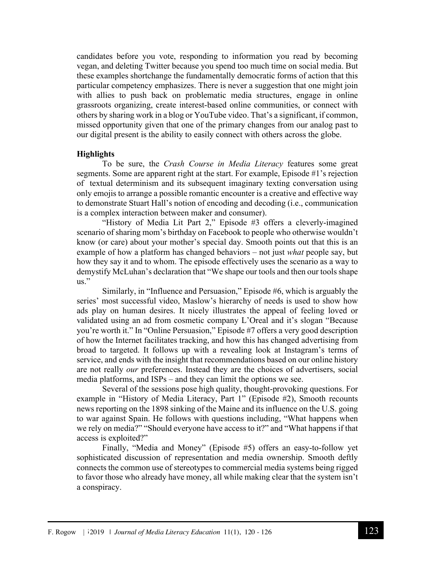candidates before you vote, responding to information you read by becoming vegan, and deleting Twitter because you spend too much time on social media. But these examples shortchange the fundamentally democratic forms of action that this particular competency emphasizes. There is never a suggestion that one might join with allies to push back on problematic media structures, engage in online grassroots organizing, create interest-based online communities, or connect with others by sharing work in a blog or YouTube video. That's a significant, if common, missed opportunity given that one of the primary changes from our analog past to our digital present is the ability to easily connect with others across the globe.

## **Highlights**

To be sure, the *Crash Course in Media Literacy* features some great segments. Some are apparent right at the start. For example, Episode #1's rejection of textual determinism and its subsequent imaginary texting conversation using only emojis to arrange a possible romantic encounter is a creative and effective way to demonstrate Stuart Hall's notion of encoding and decoding (i.e., communication is a complex interaction between maker and consumer).

"History of Media Lit Part 2," Episode #3 offers a cleverly-imagined scenario of sharing mom's birthday on Facebook to people who otherwise wouldn't know (or care) about your mother's special day. Smooth points out that this is an example of how a platform has changed behaviors – not just *what* people say, but how they say it and to whom. The episode effectively uses the scenario as a way to demystify McLuhan's declaration that "We shape our tools and then our tools shape us."

Similarly, in "Influence and Persuasion," Episode #6, which is arguably the series' most successful video, Maslow's hierarchy of needs is used to show how ads play on human desires. It nicely illustrates the appeal of feeling loved or validated using an ad from cosmetic company L'Oreal and it's slogan "Because you're worth it." In "Online Persuasion," Episode #7 offers a very good description of how the Internet facilitates tracking, and how this has changed advertising from broad to targeted. It follows up with a revealing look at Instagram's terms of service, and ends with the insight that recommendations based on our online history are not really *our* preferences. Instead they are the choices of advertisers, social media platforms, and ISPs – and they can limit the options we see.

Several of the sessions pose high quality, thought-provoking questions. For example in "History of Media Literacy, Part 1" (Episode #2), Smooth recounts news reporting on the 1898 sinking of the Maine and its influence on the U.S. going to war against Spain. He follows with questions including, "What happens when we rely on media?" "Should everyone have access to it?" and "What happens if that access is exploited?"

Finally, "Media and Money" (Episode #5) offers an easy-to-follow yet sophisticated discussion of representation and media ownership. Smooth deftly connects the common use of stereotypes to commercial media systems being rigged to favor those who already have money, all while making clear that the system isn't a conspiracy.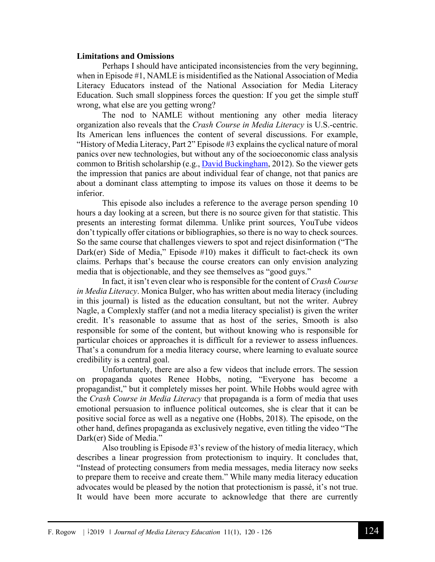### **Limitations and Omissions**

Perhaps I should have anticipated inconsistencies from the very beginning, when in Episode #1, NAMLE is misidentified as the National Association of Media Literacy Educators instead of the National Association for Media Literacy Education. Such small sloppiness forces the question: If you get the simple stuff wrong, what else are you getting wrong?

The nod to NAMLE without mentioning any other media literacy organization also reveals that the *Crash Course in Media Literacy* is U.S.-centric. Its American lens influences the content of several discussions. For example, "History of Media Literacy, Part 2" Episode #3 explains the cyclical nature of moral panics over new technologies, but without any of the socioeconomic class analysis common to British scholarship (e.g., David Buckingham, 2012). So the viewer gets the impression that panics are about individual fear of change, not that panics are about a dominant class attempting to impose its values on those it deems to be inferior.

This episode also includes a reference to the average person spending 10 hours a day looking at a screen, but there is no source given for that statistic. This presents an interesting format dilemma. Unlike print sources, YouTube videos don't typically offer citations or bibliographies, so there is no way to check sources. So the same course that challenges viewers to spot and reject disinformation ("The Dark(er) Side of Media," Episode #10) makes it difficult to fact-check its own claims. Perhaps that's because the course creators can only envision analyzing media that is objectionable, and they see themselves as "good guys."

In fact, it isn't even clear who is responsible for the content of *Crash Course in Media Literacy*. Monica Bulger, who has written about media literacy (including in this journal) is listed as the education consultant, but not the writer. Aubrey Nagle, a Complexly staffer (and not a media literacy specialist) is given the writer credit. It's reasonable to assume that as host of the series, Smooth is also responsible for some of the content, but without knowing who is responsible for particular choices or approaches it is difficult for a reviewer to assess influences. That's a conundrum for a media literacy course, where learning to evaluate source credibility is a central goal.

Unfortunately, there are also a few videos that include errors. The session on propaganda quotes Renee Hobbs, noting, "Everyone has become a propagandist," but it completely misses her point. While Hobbs would agree with the *Crash Course in Media Literacy* that propaganda is a form of media that uses emotional persuasion to influence political outcomes, she is clear that it can be positive social force as well as a negative one (Hobbs, 2018). The episode, on the other hand, defines propaganda as exclusively negative, even titling the video "The Dark(er) Side of Media."

Also troubling is Episode #3's review of the history of media literacy, which describes a linear progression from protectionism to inquiry. It concludes that, "Instead of protecting consumers from media messages, media literacy now seeks to prepare them to receive and create them." While many media literacy education advocates would be pleased by the notion that protectionism is passé, it's not true. It would have been more accurate to acknowledge that there are currently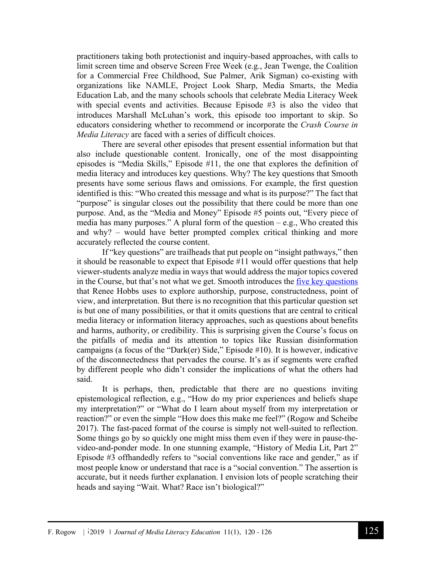practitioners taking both protectionist and inquiry-based approaches, with calls to limit screen time and observe Screen Free Week (e.g., Jean Twenge, the Coalition for a Commercial Free Childhood, Sue Palmer, Arik Sigman) co-existing with organizations like NAMLE, Project Look Sharp, Media Smarts, the Media Education Lab, and the many schools schools that celebrate Media Literacy Week with special events and activities. Because Episode #3 is also the video that introduces Marshall McLuhan's work, this episode too important to skip. So educators considering whether to recommend or incorporate the *Crash Course in Media Literacy* are faced with a series of difficult choices.

There are several other episodes that present essential information but that also include questionable content. Ironically, one of the most disappointing episodes is "Media Skills," Episode #11, the one that explores the definition of media literacy and introduces key questions. Why? The key questions that Smooth presents have some serious flaws and omissions. For example, the first question identified is this: "Who created this message and what is its purpose?" The fact that "purpose" is singular closes out the possibility that there could be more than one purpose. And, as the "Media and Money" Episode #5 points out, "Every piece of media has many purposes." A plural form of the question  $-e.g.,$  Who created this and why? – would have better prompted complex critical thinking and more accurately reflected the course content.

If "key questions" are trailheads that put people on "insight pathways," then it should be reasonable to expect that Episode #11 would offer questions that help viewer-students analyze media in ways that would address the major topics covered in the Course, but that's not what we get. Smooth introduces the five key questions that Renee Hobbs uses to explore authorship, purpose, constructedness, point of view, and interpretation. But there is no recognition that this particular question set is but one of many possibilities, or that it omits questions that are central to critical media literacy or information literacy approaches, such as questions about benefits and harms, authority, or credibility. This is surprising given the Course's focus on the pitfalls of media and its attention to topics like Russian disinformation campaigns (a focus of the "Dark(er) Side," Episode #10). It is however, indicative of the disconnectedness that pervades the course. It's as if segments were crafted by different people who didn't consider the implications of what the others had said.

It is perhaps, then, predictable that there are no questions inviting epistemological reflection, e.g., "How do my prior experiences and beliefs shape my interpretation?" or "What do I learn about myself from my interpretation or reaction?" or even the simple "How does this make me feel?" (Rogow and Scheibe 2017). The fast-paced format of the course is simply not well-suited to reflection. Some things go by so quickly one might miss them even if they were in pause-thevideo-and-ponder mode. In one stunning example, "History of Media Lit, Part 2" Episode #3 offhandedly refers to "social conventions like race and gender," as if most people know or understand that race is a "social convention." The assertion is accurate, but it needs further explanation. I envision lots of people scratching their heads and saying "Wait. What? Race isn't biological?"